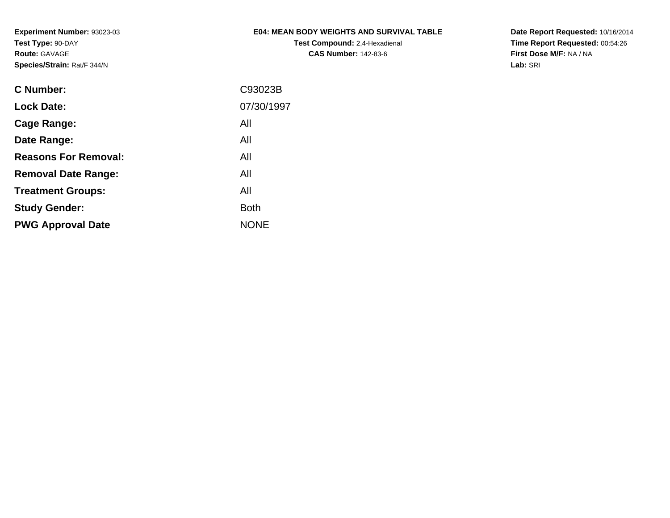**Experiment Number:** 93023-03**Test Type:** 90-DAY**Route:** GAVAGE**Species/Strain:** Rat/F 344/N

## **E04: MEAN BODY WEIGHTS AND SURVIVAL TABLE**

**Test Compound:** 2,4-Hexadienal **CAS Number:** 142-83-6

**Date Report Requested:** 10/16/2014 **Time Report Requested:** 00:54:26**First Dose M/F:** NA / NA**Lab:** SRI

| C Number:                   | C93023B     |
|-----------------------------|-------------|
| <b>Lock Date:</b>           | 07/30/1997  |
| Cage Range:                 | All         |
| Date Range:                 | All         |
| <b>Reasons For Removal:</b> | All         |
| <b>Removal Date Range:</b>  | All         |
| <b>Treatment Groups:</b>    | All         |
| <b>Study Gender:</b>        | <b>Both</b> |
| <b>PWG Approval Date</b>    | <b>NONE</b> |
|                             |             |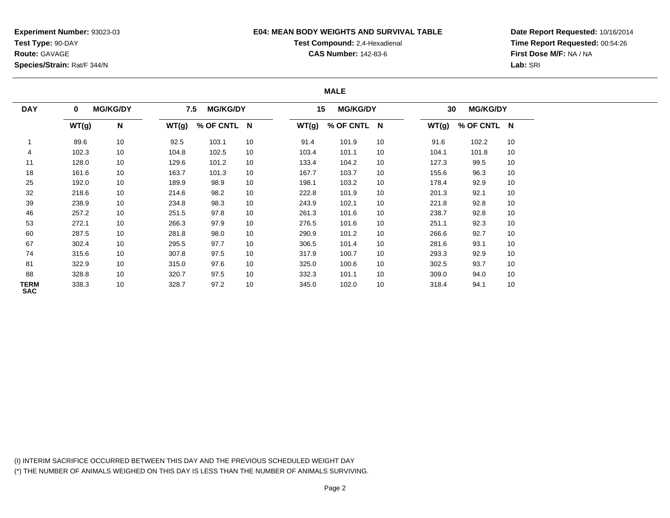**Experiment Number:** 93023-03**Test Type:** 90-DAY**Route:** GAVAGE**Species/Strain:** Rat/F 344/N

#### **E04: MEAN BODY WEIGHTS AND SURVIVAL TABLE**

# **Test Compound:** 2,4-Hexadienal **CAS Number:** 142-83-6

**Date Report Requested:** 10/16/2014**Time Report Requested:** 00:54:26**First Dose M/F:** NA / NA**Lab:** SRI

#### **MALE**

| <b>DAY</b>                | $\mathbf 0$ | <b>MG/KG/DY</b> | 7.5   | <b>MG/KG/DY</b> |    | 15    | <b>MG/KG/DY</b> |    | 30    | <b>MG/KG/DY</b> |    |
|---------------------------|-------------|-----------------|-------|-----------------|----|-------|-----------------|----|-------|-----------------|----|
|                           | WT(g)       | N               | WT(g) | % OF CNTL N     |    | WT(g) | % OF CNTL N     |    | WT(g) | % OF CNTL N     |    |
|                           | 89.6        | 10              | 92.5  | 103.1           | 10 | 91.4  | 101.9           | 10 | 91.6  | 102.2           | 10 |
| 4                         | 102.3       | 10              | 104.8 | 102.5           | 10 | 103.4 | 101.1           | 10 | 104.1 | 101.8           | 10 |
| 11                        | 128.0       | 10              | 129.6 | 101.2           | 10 | 133.4 | 104.2           | 10 | 127.3 | 99.5            | 10 |
| 18                        | 161.6       | 10              | 163.7 | 101.3           | 10 | 167.7 | 103.7           | 10 | 155.6 | 96.3            | 10 |
| 25                        | 192.0       | 10              | 189.9 | 98.9            | 10 | 198.1 | 103.2           | 10 | 178.4 | 92.9            | 10 |
| 32                        | 218.6       | 10              | 214.6 | 98.2            | 10 | 222.8 | 101.9           | 10 | 201.3 | 92.1            | 10 |
| 39                        | 238.9       | 10              | 234.8 | 98.3            | 10 | 243.9 | 102.1           | 10 | 221.8 | 92.8            | 10 |
| 46                        | 257.2       | 10              | 251.5 | 97.8            | 10 | 261.3 | 101.6           | 10 | 238.7 | 92.8            | 10 |
| 53                        | 272.1       | 10              | 266.3 | 97.9            | 10 | 276.5 | 101.6           | 10 | 251.1 | 92.3            | 10 |
| 60                        | 287.5       | 10              | 281.8 | 98.0            | 10 | 290.9 | 101.2           | 10 | 266.6 | 92.7            | 10 |
| 67                        | 302.4       | 10              | 295.5 | 97.7            | 10 | 306.5 | 101.4           | 10 | 281.6 | 93.1            | 10 |
| 74                        | 315.6       | 10              | 307.8 | 97.5            | 10 | 317.9 | 100.7           | 10 | 293.3 | 92.9            | 10 |
| 81                        | 322.9       | 10              | 315.0 | 97.6            | 10 | 325.0 | 100.6           | 10 | 302.5 | 93.7            | 10 |
| 88                        | 328.8       | 10              | 320.7 | 97.5            | 10 | 332.3 | 101.1           | 10 | 309.0 | 94.0            | 10 |
| <b>TERM</b><br><b>SAC</b> | 338.3       | 10              | 328.7 | 97.2            | 10 | 345.0 | 102.0           | 10 | 318.4 | 94.1            | 10 |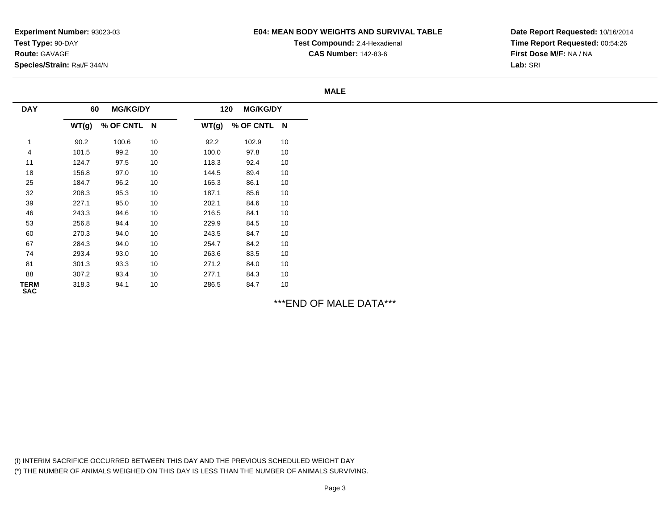## **E04: MEAN BODY WEIGHTS AND SURVIVAL TABLE**

**Test Compound:** 2,4-Hexadienal **CAS Number:** 142-83-6

**Date Report Requested:** 10/16/2014**Time Report Requested:** 00:54:26**First Dose M/F:** NA / NA**Lab:** SRI

#### **MALE**

| <b>DAY</b>                | 60    | <b>MG/KG/DY</b> |    | 120   | <b>MG/KG/DY</b> |    |
|---------------------------|-------|-----------------|----|-------|-----------------|----|
|                           | WT(g) | % OF CNTL N     |    | WT(g) | % OF CNTL N     |    |
|                           | 90.2  | 100.6           | 10 | 92.2  | 102.9           | 10 |
| 4                         | 101.5 | 99.2            | 10 | 100.0 | 97.8            | 10 |
| 11                        | 124.7 | 97.5            | 10 | 118.3 | 92.4            | 10 |
| 18                        | 156.8 | 97.0            | 10 | 144.5 | 89.4            | 10 |
| 25                        | 184.7 | 96.2            | 10 | 165.3 | 86.1            | 10 |
| 32                        | 208.3 | 95.3            | 10 | 187.1 | 85.6            | 10 |
| 39                        | 227.1 | 95.0            | 10 | 202.1 | 84.6            | 10 |
| 46                        | 243.3 | 94.6            | 10 | 216.5 | 84.1            | 10 |
| 53                        | 256.8 | 94.4            | 10 | 229.9 | 84.5            | 10 |
| 60                        | 270.3 | 94.0            | 10 | 243.5 | 84.7            | 10 |
| 67                        | 284.3 | 94.0            | 10 | 254.7 | 84.2            | 10 |
| 74                        | 293.4 | 93.0            | 10 | 263.6 | 83.5            | 10 |
| 81                        | 301.3 | 93.3            | 10 | 271.2 | 84.0            | 10 |
| 88                        | 307.2 | 93.4            | 10 | 277.1 | 84.3            | 10 |
| <b>TERM</b><br><b>SAC</b> | 318.3 | 94.1            | 10 | 286.5 | 84.7            | 10 |

\*\*\*END OF MALE DATA\*\*\*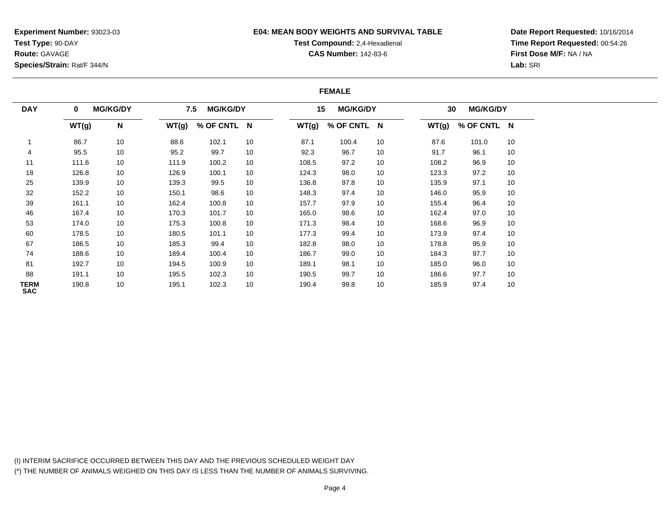**Experiment Number:** 93023-03**Test Type:** 90-DAY**Route:** GAVAGE**Species/Strain:** Rat/F 344/N

#### **E04: MEAN BODY WEIGHTS AND SURVIVAL TABLE**

# **Test Compound:** 2,4-Hexadienal

**CAS Number:** 142-83-6

**Date Report Requested:** 10/16/2014**Time Report Requested:** 00:54:26**First Dose M/F:** NA / NA**Lab:** SRI

#### **FEMALE**

| <b>DAY</b>                | $\bf{0}$ | <b>MG/KG/DY</b> |       | <b>MG/KG/DY</b><br>7.5 |    | 15    | <b>MG/KG/DY</b> |    | 30    | <b>MG/KG/DY</b> |    |
|---------------------------|----------|-----------------|-------|------------------------|----|-------|-----------------|----|-------|-----------------|----|
|                           | WT(g)    | N               | WT(g) | % OF CNTL N            |    | WT(g) | % OF CNTL N     |    | WT(g) | % OF CNTL N     |    |
|                           | 86.7     | 10              | 88.6  | 102.1                  | 10 | 87.1  | 100.4           | 10 | 87.6  | 101.0           | 10 |
| 4                         | 95.5     | 10              | 95.2  | 99.7                   | 10 | 92.3  | 96.7            | 10 | 91.7  | 96.1            | 10 |
| 11                        | 111.6    | 10              | 111.9 | 100.2                  | 10 | 108.5 | 97.2            | 10 | 108.2 | 96.9            | 10 |
| 18                        | 126.8    | 10              | 126.9 | 100.1                  | 10 | 124.3 | 98.0            | 10 | 123.3 | 97.2            | 10 |
| 25                        | 139.9    | 10              | 139.3 | 99.5                   | 10 | 136.8 | 97.8            | 10 | 135.9 | 97.1            | 10 |
| 32                        | 152.2    | 10              | 150.1 | 98.6                   | 10 | 148.3 | 97.4            | 10 | 146.0 | 95.9            | 10 |
| 39                        | 161.1    | 10              | 162.4 | 100.8                  | 10 | 157.7 | 97.9            | 10 | 155.4 | 96.4            | 10 |
| 46                        | 167.4    | 10              | 170.3 | 101.7                  | 10 | 165.0 | 98.6            | 10 | 162.4 | 97.0            | 10 |
| 53                        | 174.0    | 10              | 175.3 | 100.8                  | 10 | 171.3 | 98.4            | 10 | 168.6 | 96.9            | 10 |
| 60                        | 178.5    | 10              | 180.5 | 101.1                  | 10 | 177.3 | 99.4            | 10 | 173.9 | 97.4            | 10 |
| 67                        | 186.5    | 10              | 185.3 | 99.4                   | 10 | 182.8 | 98.0            | 10 | 178.8 | 95.9            | 10 |
| 74                        | 188.6    | 10              | 189.4 | 100.4                  | 10 | 186.7 | 99.0            | 10 | 184.3 | 97.7            | 10 |
| 81                        | 192.7    | 10              | 194.5 | 100.9                  | 10 | 189.1 | 98.1            | 10 | 185.0 | 96.0            | 10 |
| 88                        | 191.1    | 10              | 195.5 | 102.3                  | 10 | 190.5 | 99.7            | 10 | 186.6 | 97.7            | 10 |
| <b>TERM</b><br><b>SAC</b> | 190.8    | 10              | 195.1 | 102.3                  | 10 | 190.4 | 99.8            | 10 | 185.9 | 97.4            | 10 |